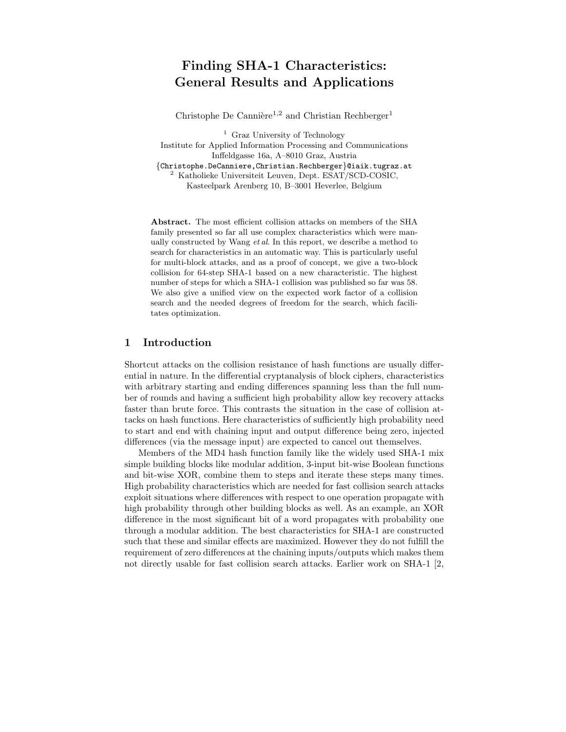# Finding SHA-1 Characteristics: General Results and Applications

Christophe De Cannière<sup>1,2</sup> and Christian Rechberger<sup>1</sup>

<sup>1</sup> Graz University of Technology Institute for Applied Information Processing and Communications Inffeldgasse 16a, A–8010 Graz, Austria {Christophe.DeCanniere,Christian.Rechberger}@iaik.tugraz.at <sup>2</sup> Katholieke Universiteit Leuven, Dept. ESAT/SCD-COSIC, Kasteelpark Arenberg 10, B–3001 Heverlee, Belgium

Abstract. The most efficient collision attacks on members of the SHA family presented so far all use complex characteristics which were manually constructed by Wang  $et al$ . In this report, we describe a method to search for characteristics in an automatic way. This is particularly useful for multi-block attacks, and as a proof of concept, we give a two-block collision for 64-step SHA-1 based on a new characteristic. The highest number of steps for which a SHA-1 collision was published so far was 58. We also give a unified view on the expected work factor of a collision search and the needed degrees of freedom for the search, which facilitates optimization.

# 1 Introduction

Shortcut attacks on the collision resistance of hash functions are usually differential in nature. In the differential cryptanalysis of block ciphers, characteristics with arbitrary starting and ending differences spanning less than the full number of rounds and having a sufficient high probability allow key recovery attacks faster than brute force. This contrasts the situation in the case of collision attacks on hash functions. Here characteristics of sufficiently high probability need to start and end with chaining input and output difference being zero, injected differences (via the message input) are expected to cancel out themselves.

Members of the MD4 hash function family like the widely used SHA-1 mix simple building blocks like modular addition, 3-input bit-wise Boolean functions and bit-wise XOR, combine them to steps and iterate these steps many times. High probability characteristics which are needed for fast collision search attacks exploit situations where differences with respect to one operation propagate with high probability through other building blocks as well. As an example, an XOR difference in the most significant bit of a word propagates with probability one through a modular addition. The best characteristics for SHA-1 are constructed such that these and similar effects are maximized. However they do not fulfill the requirement of zero differences at the chaining inputs/outputs which makes them not directly usable for fast collision search attacks. Earlier work on SHA-1 [2,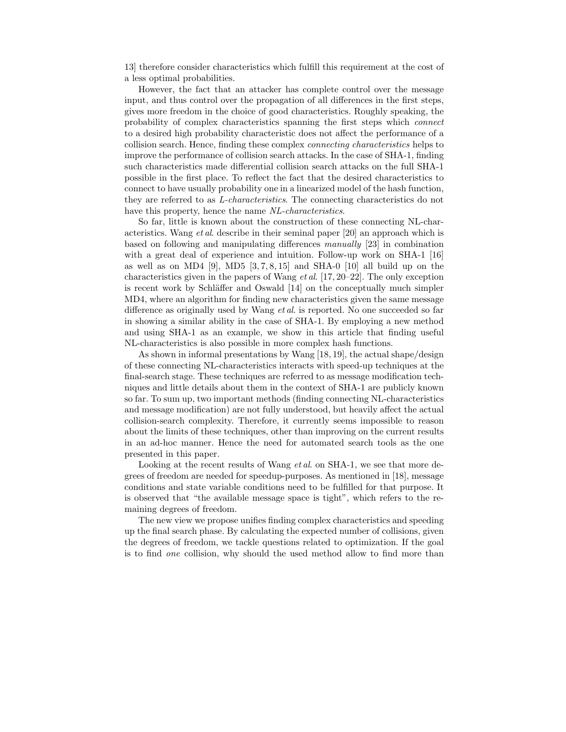13] therefore consider characteristics which fulfill this requirement at the cost of a less optimal probabilities.

However, the fact that an attacker has complete control over the message input, and thus control over the propagation of all differences in the first steps, gives more freedom in the choice of good characteristics. Roughly speaking, the probability of complex characteristics spanning the first steps which connect to a desired high probability characteristic does not affect the performance of a collision search. Hence, finding these complex connecting characteristics helps to improve the performance of collision search attacks. In the case of SHA-1, finding such characteristics made differential collision search attacks on the full SHA-1 possible in the first place. To reflect the fact that the desired characteristics to connect to have usually probability one in a linearized model of the hash function, they are referred to as L-characteristics. The connecting characteristics do not have this property, hence the name NL-characteristics.

So far, little is known about the construction of these connecting NL-characteristics. Wang et al. describe in their seminal paper [20] an approach which is based on following and manipulating differences manually [23] in combination with a great deal of experience and intuition. Follow-up work on SHA-1 [16] as well as on MD4 [9], MD5  $[3, 7, 8, 15]$  and SHA-0  $[10]$  all build up on the characteristics given in the papers of Wang *et al.* [17, 20–22]. The only exception is recent work by Schläffer and Oswald [14] on the conceptually much simpler MD4, where an algorithm for finding new characteristics given the same message difference as originally used by Wang et al. is reported. No one succeeded so far in showing a similar ability in the case of SHA-1. By employing a new method and using SHA-1 as an example, we show in this article that finding useful NL-characteristics is also possible in more complex hash functions.

As shown in informal presentations by Wang [18, 19], the actual shape/design of these connecting NL-characteristics interacts with speed-up techniques at the final-search stage. These techniques are referred to as message modification techniques and little details about them in the context of SHA-1 are publicly known so far. To sum up, two important methods (finding connecting NL-characteristics and message modification) are not fully understood, but heavily affect the actual collision-search complexity. Therefore, it currently seems impossible to reason about the limits of these techniques, other than improving on the current results in an ad-hoc manner. Hence the need for automated search tools as the one presented in this paper.

Looking at the recent results of Wang *et al.* on SHA-1, we see that more degrees of freedom are needed for speedup-purposes. As mentioned in [18], message conditions and state variable conditions need to be fulfilled for that purpose. It is observed that "the available message space is tight", which refers to the remaining degrees of freedom.

The new view we propose unifies finding complex characteristics and speeding up the final search phase. By calculating the expected number of collisions, given the degrees of freedom, we tackle questions related to optimization. If the goal is to find one collision, why should the used method allow to find more than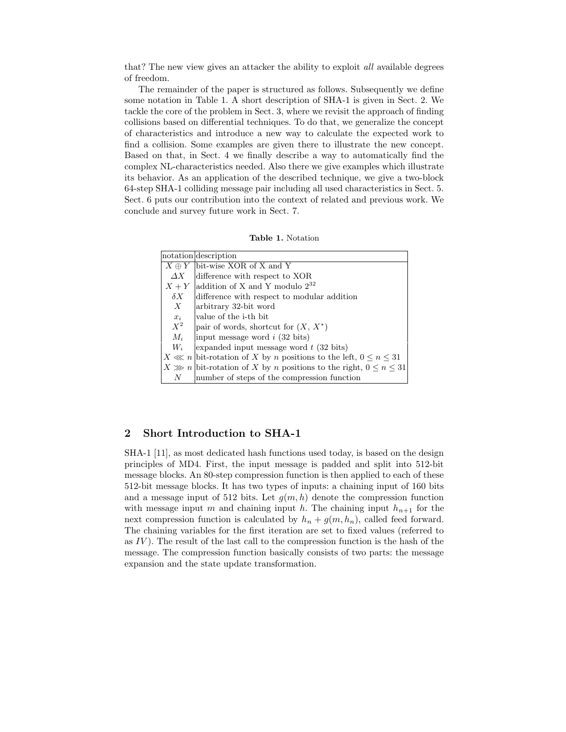that? The new view gives an attacker the ability to exploit all available degrees of freedom.

The remainder of the paper is structured as follows. Subsequently we define some notation in Table 1. A short description of SHA-1 is given in Sect. 2. We tackle the core of the problem in Sect. 3, where we revisit the approach of finding collisions based on differential techniques. To do that, we generalize the concept of characteristics and introduce a new way to calculate the expected work to find a collision. Some examples are given there to illustrate the new concept. Based on that, in Sect. 4 we finally describe a way to automatically find the complex NL-characteristics needed. Also there we give examples which illustrate its behavior. As an application of the described technique, we give a two-block 64-step SHA-1 colliding message pair including all used characteristics in Sect. 5. Sect. 6 puts our contribution into the context of related and previous work. We conclude and survey future work in Sect. 7.

|              | notation description                                                       |
|--------------|----------------------------------------------------------------------------|
| $X \oplus Y$ | bit-wise XOR of X and Y                                                    |
| $\Delta X$   | difference with respect to XOR                                             |
| $X+Y$        | addition of X and Y modulo $2^{32}$                                        |
| $\delta X$   | difference with respect to modular addition                                |
| X            | arbitrary 32-bit word                                                      |
| $x_i$        | value of the <i>i</i> -th bit                                              |
| $X^2$        | pair of words, shortcut for $(X, X^*)$                                     |
| $M_i$        | input message word $i$ (32 bits)                                           |
| $W_i$        | expanded input message word $t$ (32 bits)                                  |
|              | $X \ll n$ bit-rotation of X by n positions to the left, $0 \leq n \leq 31$ |
|              | $X \gg n$ bit-rotation of X by n positions to the right, $0 \le n \le 31$  |
| N            | number of steps of the compression function                                |

# 2 Short Introduction to SHA-1

SHA-1 [11], as most dedicated hash functions used today, is based on the design principles of MD4. First, the input message is padded and split into 512-bit message blocks. An 80-step compression function is then applied to each of these 512-bit message blocks. It has two types of inputs: a chaining input of 160 bits and a message input of 512 bits. Let  $g(m, h)$  denote the compression function with message input m and chaining input h. The chaining input  $h_{n+1}$  for the next compression function is calculated by  $h_n + g(m, h_n)$ , called feed forward. The chaining variables for the first iteration are set to fixed values (referred to as  $IV$ ). The result of the last call to the compression function is the hash of the message. The compression function basically consists of two parts: the message expansion and the state update transformation.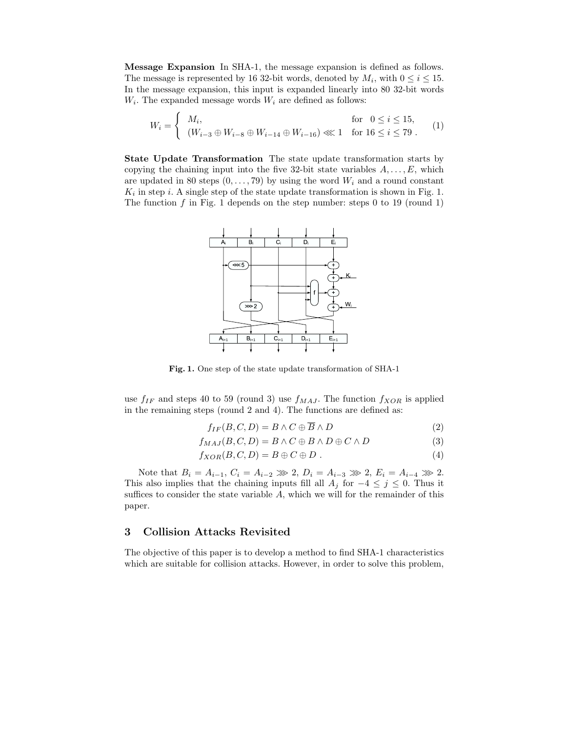Message Expansion In SHA-1, the message expansion is defined as follows. The message is represented by 16 32-bit words, denoted by  $M_i$ , with  $0 \le i \le 15$ . In the message expansion, this input is expanded linearly into 80 32-bit words  $W_i$ . The expanded message words  $W_i$  are defined as follows:

$$
W_i = \begin{cases} M_i, & \text{for } 0 \le i \le 15, \\ (W_{i-3} \oplus W_{i-8} \oplus W_{i-14} \oplus W_{i-16}) \ll 1 & \text{for } 16 \le i \le 79. \end{cases}
$$
 (1)

State Update Transformation The state update transformation starts by copying the chaining input into the five 32-bit state variables  $A, \ldots, E$ , which are updated in 80 steps  $(0, \ldots, 79)$  by using the word  $W_i$  and a round constant  $K_i$  in step *i*. A single step of the state update transformation is shown in Fig. 1. The function  $f$  in Fig. 1 depends on the step number: steps 0 to 19 (round 1)



Fig. 1. One step of the state update transformation of SHA-1

use  $f_{IF}$  and steps 40 to 59 (round 3) use  $f_{MAJ}$ . The function  $f_{XOR}$  is applied in the remaining steps (round 2 and 4). The functions are defined as:

$$
f_{IF}(B, C, D) = B \wedge C \oplus \overline{B} \wedge D \tag{2}
$$

$$
f_{MAJ}(B, C, D) = B \wedge C \oplus B \wedge D \oplus C \wedge D \tag{3}
$$

$$
f_{XOR}(B,C,D) = B \oplus C \oplus D . \qquad (4)
$$

Note that  $B_i = A_{i-1}$ ,  $C_i = A_{i-2} \gg 2$ ,  $D_i = A_{i-3} \gg 2$ ,  $E_i = A_{i-4} \gg 2$ . This also implies that the chaining inputs fill all  $A_j$  for  $-4 \leq j \leq 0$ . Thus it suffices to consider the state variable  $A$ , which we will for the remainder of this paper.

## 3 Collision Attacks Revisited

The objective of this paper is to develop a method to find SHA-1 characteristics which are suitable for collision attacks. However, in order to solve this problem,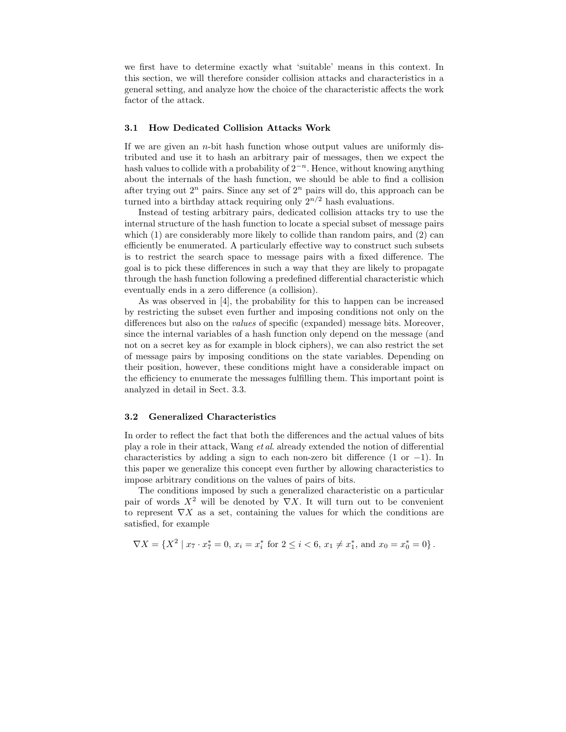we first have to determine exactly what 'suitable' means in this context. In this section, we will therefore consider collision attacks and characteristics in a general setting, and analyze how the choice of the characteristic affects the work factor of the attack.

#### 3.1 How Dedicated Collision Attacks Work

If we are given an  $n$ -bit hash function whose output values are uniformly distributed and use it to hash an arbitrary pair of messages, then we expect the hash values to collide with a probability of  $2^{-n}$ . Hence, without knowing anything about the internals of the hash function, we should be able to find a collision after trying out  $2^n$  pairs. Since any set of  $2^n$  pairs will do, this approach can be turned into a birthday attack requiring only  $2^{n/2}$  hash evaluations.

Instead of testing arbitrary pairs, dedicated collision attacks try to use the internal structure of the hash function to locate a special subset of message pairs which  $(1)$  are considerably more likely to collide than random pairs, and  $(2)$  can efficiently be enumerated. A particularly effective way to construct such subsets is to restrict the search space to message pairs with a fixed difference. The goal is to pick these differences in such a way that they are likely to propagate through the hash function following a predefined differential characteristic which eventually ends in a zero difference (a collision).

As was observed in [4], the probability for this to happen can be increased by restricting the subset even further and imposing conditions not only on the differences but also on the values of specific (expanded) message bits. Moreover, since the internal variables of a hash function only depend on the message (and not on a secret key as for example in block ciphers), we can also restrict the set of message pairs by imposing conditions on the state variables. Depending on their position, however, these conditions might have a considerable impact on the efficiency to enumerate the messages fulfilling them. This important point is analyzed in detail in Sect. 3.3.

#### 3.2 Generalized Characteristics

In order to reflect the fact that both the differences and the actual values of bits play a role in their attack, Wang et al. already extended the notion of differential characteristics by adding a sign to each non-zero bit difference  $(1 \text{ or } -1)$ . In this paper we generalize this concept even further by allowing characteristics to impose arbitrary conditions on the values of pairs of bits.

The conditions imposed by such a generalized characteristic on a particular pair of words  $X^2$  will be denoted by  $\nabla X$ . It will turn out to be convenient to represent  $\nabla X$  as a set, containing the values for which the conditions are satisfied, for example

$$
\nabla X = \{ X^2 \mid x_7 \cdot x_7^* = 0, x_i = x_i^* \text{ for } 2 \le i < 6, x_1 \neq x_1^*, \text{ and } x_0 = x_0^* = 0 \}.
$$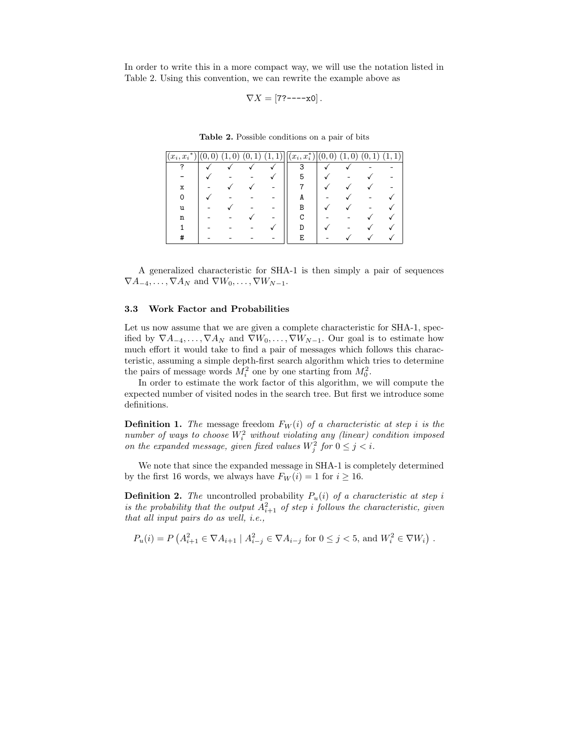In order to write this in a more compact way, we will use the notation listed in Table 2. Using this convention, we can rewrite the example above as

$$
\nabla X = [7?^{---}x0].
$$

|  |  |  | <b>Table 2.</b> Possible conditions on a pair of bits |  |  |  |  |  |
|--|--|--|-------------------------------------------------------|--|--|--|--|--|
|--|--|--|-------------------------------------------------------|--|--|--|--|--|

| $(x_i, x_i^*)$ | v | $^{\circ}$ $\Omega$ $\sim$ 1<br>(0,<br>T | $(1,\underline{1})\cup$ | $(x_i, x_i^*)$ | (0,<br>$\boldsymbol{0}$ | $\overline{0}$ | T) | (1, 1) |
|----------------|---|------------------------------------------|-------------------------|----------------|-------------------------|----------------|----|--------|
|                |   |                                          |                         | 3              |                         |                |    |        |
|                |   |                                          |                         | 5              |                         |                |    |        |
| x              |   |                                          |                         |                |                         |                |    |        |
|                |   |                                          |                         | A              |                         |                |    |        |
| u              |   |                                          |                         | В              |                         |                |    |        |
| n              |   |                                          |                         |                |                         |                |    |        |
|                |   |                                          |                         |                |                         |                |    |        |
| π              |   |                                          |                         | E              |                         |                |    |        |

A generalized characteristic for SHA-1 is then simply a pair of sequences  $\nabla A_{-4}, \ldots, \nabla A_N$  and  $\nabla W_0, \ldots, \nabla W_{N-1}$ .

#### 3.3 Work Factor and Probabilities

Let us now assume that we are given a complete characteristic for SHA-1, specified by  $\nabla A_{-4}, \ldots, \nabla A_N$  and  $\nabla W_0, \ldots, \nabla W_{N-1}$ . Our goal is to estimate how much effort it would take to find a pair of messages which follows this characteristic, assuming a simple depth-first search algorithm which tries to determine the pairs of message words  $M_i^2$  one by one starting from  $M_0^2$ .

In order to estimate the work factor of this algorithm, we will compute the expected number of visited nodes in the search tree. But first we introduce some definitions.

**Definition 1.** The message freedom  $F_W(i)$  of a characteristic at step i is the number of ways to choose  $W_i^2$  without violating any (linear) condition imposed on the expanded message, given fixed values  $W_j^2$  for  $0 \le j < i$ .

We note that since the expanded message in SHA-1 is completely determined by the first 16 words, we always have  $F_W(i) = 1$  for  $i \ge 16$ .

**Definition 2.** The uncontrolled probability  $P_u(i)$  of a characteristic at step i is the probability that the output  $A_{i+1}^2$  of step i follows the characteristic, given that all input pairs do as well, i.e.,

$$
P_u(i) = P\left(A_{i+1}^2 \in \nabla A_{i+1} \mid A_{i-j}^2 \in \nabla A_{i-j} \text{ for } 0 \leq j < 5 \text{, and } W_i^2 \in \nabla W_i\right).
$$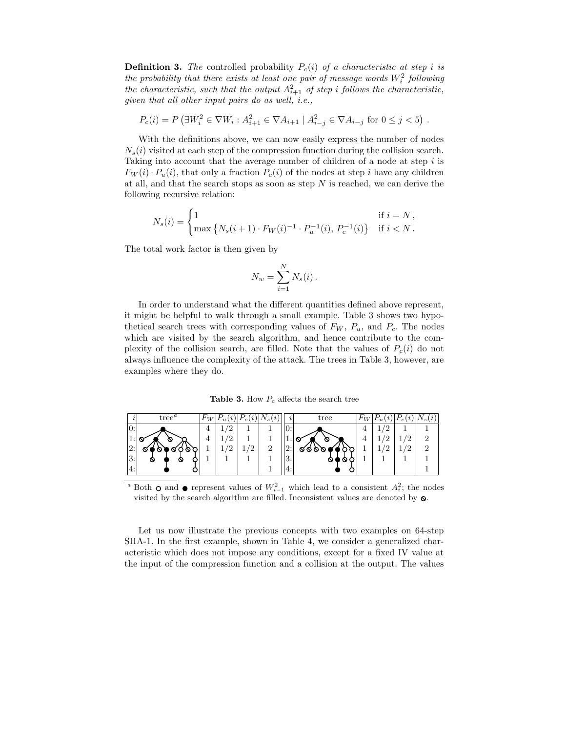**Definition 3.** The controlled probability  $P_c(i)$  of a characteristic at step i is the probability that there exists at least one pair of message words  $W_i^2$  following the probability that there exists at least one pair by message words  $W_i$  following<br>the characteristic, such that the output  $A_{i+1}^2$  of step i follows the characteristic, given that all other input pairs do as well, i.e.,

$$
P_c(i) = P(\exists W_i^2 \in \nabla W_i : A_{i+1}^2 \in \nabla A_{i+1} | A_{i-j}^2 \in \nabla A_{i-j} \text{ for } 0 \le j < 5).
$$

With the definitions above, we can now easily express the number of nodes  $N<sub>s</sub>(i)$  visited at each step of the compression function during the collision search. Taking into account that the average number of children of a node at step i is  $F_W(i) \cdot P_u(i)$ , that only a fraction  $P_c(i)$  of the nodes at step i have any children at all, and that the search stops as soon as step  $N$  is reached, we can derive the following recursive relation:

$$
N_s(i) = \begin{cases} 1 & \text{if } i = N, \\ \max\left\{N_s(i+1) \cdot F_W(i)^{-1} \cdot P_u^{-1}(i), \, P_c^{-1}(i)\right\} & \text{if } i < N. \end{cases}
$$

The total work factor is then given by

$$
N_w = \sum_{i=1}^N N_s(i).
$$

In order to understand what the different quantities defined above represent, it might be helpful to walk through a small example. Table 3 shows two hypothetical search trees with corresponding values of  $F_W$ ,  $P_u$ , and  $P_c$ . The nodes which are visited by the search algorithm, and hence contribute to the complexity of the collision search, are filled. Note that the values of  $P_c(i)$  do not always influence the complexity of the attack. The trees in Table 3, however, are examples where they do.

Table 3. How  $P_c$  affects the search tree

|                  | tree'  | $H^*W$         |                 |    | $\mathbf{s}$   |                     | tree     | $F_W$ |            | $\imath$ |   |
|------------------|--------|----------------|-----------------|----|----------------|---------------------|----------|-------|------------|----------|---|
| $\overline{0}$ : |        | $\overline{4}$ | Ιη              |    |                | 0:                  |          |       | /ດ         |          |   |
| <b>.</b>         | Ø      |                | $\sqrt{2}$      |    |                | <b>1.</b>           | ∾<br>v   |       | $\sqrt{2}$ | n        | ച |
| 2:               | s<br>O |                | $\sqrt{2}$<br>∸ | ′2 | $\overline{2}$ | 2:                  | ବବ<br>90 |       | $\sqrt{2}$ | /ດ       | ച |
| 3:               | ∾<br>N |                |                 |    |                | $\mathbf{Q}$ .<br>ு | ∾<br>0 ( |       |            |          |   |
| 4:               |        |                |                 |    |                | I4:                 |          |       |            |          |   |

<sup>a</sup> Both **○** and ● represent values of  $W_{i-1}^2$  which lead to a consistent  $A_i^2$ ; the nodes visited by the search algorithm are filled. Inconsistent values are denoted by  $\infty$ .

Let us now illustrate the previous concepts with two examples on 64-step SHA-1. In the first example, shown in Table 4, we consider a generalized characteristic which does not impose any conditions, except for a fixed IV value at the input of the compression function and a collision at the output. The values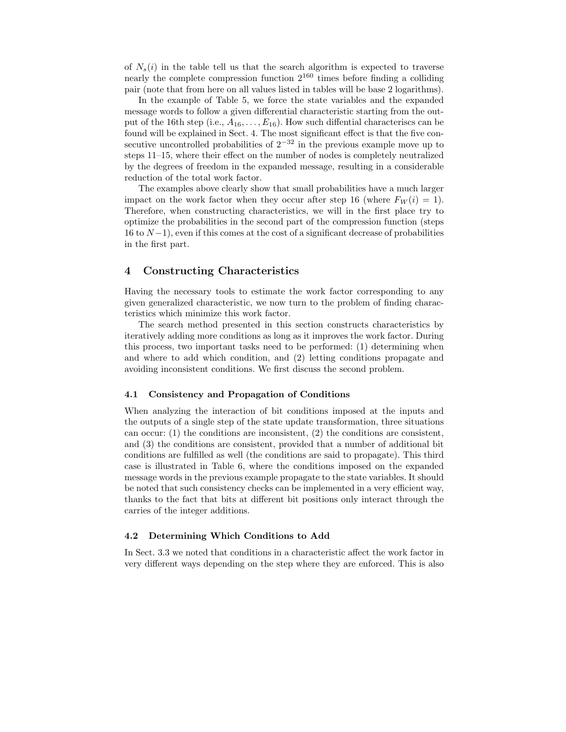of  $N_s(i)$  in the table tell us that the search algorithm is expected to traverse nearly the complete compression function 2 <sup>160</sup> times before finding a colliding pair (note that from here on all values listed in tables will be base 2 logarithms).

In the example of Table 5, we force the state variables and the expanded message words to follow a given differential characteristic starting from the output of the 16th step (i.e.,  $A_{16}, \ldots, E_{16}$ ). How such diffential characteriscs can be found will be explained in Sect. 4. The most significant effect is that the five consecutive uncontrolled probabilities of  $2^{-32}$  in the previous example move up to steps 11–15, where their effect on the number of nodes is completely neutralized by the degrees of freedom in the expanded message, resulting in a considerable reduction of the total work factor.

The examples above clearly show that small probabilities have a much larger impact on the work factor when they occur after step 16 (where  $F_W(i) = 1$ ). Therefore, when constructing characteristics, we will in the first place try to optimize the probabilities in the second part of the compression function (steps 16 to  $N-1$ ), even if this comes at the cost of a significant decrease of probabilities in the first part.

# 4 Constructing Characteristics

Having the necessary tools to estimate the work factor corresponding to any given generalized characteristic, we now turn to the problem of finding characteristics which minimize this work factor.

The search method presented in this section constructs characteristics by iteratively adding more conditions as long as it improves the work factor. During this process, two important tasks need to be performed: (1) determining when and where to add which condition, and (2) letting conditions propagate and avoiding inconsistent conditions. We first discuss the second problem.

#### 4.1 Consistency and Propagation of Conditions

When analyzing the interaction of bit conditions imposed at the inputs and the outputs of a single step of the state update transformation, three situations can occur: (1) the conditions are inconsistent, (2) the conditions are consistent, and (3) the conditions are consistent, provided that a number of additional bit conditions are fulfilled as well (the conditions are said to propagate). This third case is illustrated in Table 6, where the conditions imposed on the expanded message words in the previous example propagate to the state variables. It should be noted that such consistency checks can be implemented in a very efficient way, thanks to the fact that bits at different bit positions only interact through the carries of the integer additions.

#### 4.2 Determining Which Conditions to Add

In Sect. 3.3 we noted that conditions in a characteristic affect the work factor in very different ways depending on the step where they are enforced. This is also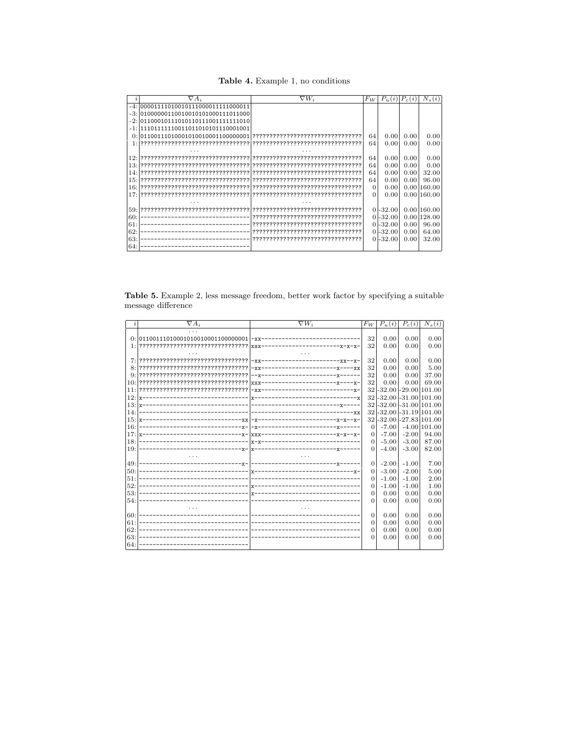Table 4. Example 1, no conditions

| $\boldsymbol{\eta}$ | $\nabla A_i$                           | $\nabla W_i$                      | $F_W$    | $P_u(i)$    | $P_c(i)$ | $N_{s}$<br>(i) |
|---------------------|----------------------------------------|-----------------------------------|----------|-------------|----------|----------------|
|                     | -4: 00001111010010111000011111000011   |                                   |          |             |          |                |
|                     | $-3: 01000000110010010101000111011000$ |                                   |          |             |          |                |
|                     | -2:101100010111010110111001111111010   |                                   |          |             |          |                |
|                     | -1:11101111110011011010101110001001    |                                   |          |             |          |                |
|                     |                                        |                                   | 64       | 0.00        | 0.00     | 0.00           |
|                     |                                        |                                   | 64       | 0.00        | 0.00     | 0.00           |
|                     |                                        |                                   |          |             |          |                |
|                     |                                        |                                   | 64       | 0.00        | 0.00     | 0.00           |
|                     |                                        |                                   | 64       | 0.00        | 0.00     | 0.00           |
|                     |                                        |                                   | 64       | 0.00        | 0.00     | 32.00          |
|                     |                                        |                                   | 64       | 0.00        | 0.00     | 96.00          |
|                     |                                        |                                   | $\Omega$ | 0.00        |          | 0.001160.00    |
|                     |                                        |                                   | $\Omega$ | 0.00        |          | 0.00160.00     |
|                     |                                        |                                   |          |             |          |                |
|                     |                                        |                                   |          | $0 - 32.00$ |          | 0.00160.00     |
| 60:                 |                                        |                                   |          | $0 - 32.00$ |          | 0.00 128.00    |
| 61:                 |                                        | ????????????????????????????????  |          | $0 - 32.00$ | 0.00     | 96.00          |
| 62:                 |                                        |                                   |          | $0 - 32.00$ | 0.00     | 64.00          |
| 63:                 |                                        | 777777777777777777777777777777777 |          | $0 - 32.00$ | 0.00     | 32.00          |
| 64:                 |                                        |                                   |          |             |          |                |

Table 5. Example 2, less message freedom, better work factor by specifying a suitable  $\,$  message difference

|     | $\nabla A_i$ | $\nabla W_i$                        | $F_W$          | $P_u(i)$ | $P_c(i)$                   | $N_s(i)$                   |
|-----|--------------|-------------------------------------|----------------|----------|----------------------------|----------------------------|
|     |              |                                     |                |          |                            |                            |
|     |              |                                     | 32             | 0.00     | 0.00                       | 0.00                       |
|     |              |                                     | 32             | 0.00     | 0.00                       | 0.00                       |
|     |              |                                     |                |          |                            |                            |
|     |              |                                     | 32             | 0.00     | 0.00                       | 0.00                       |
|     |              |                                     | 32             | 0.00     | 0.00                       | 5.00                       |
|     |              | --x-------------------------------- | 32             | 0.00     | 0.00                       | 37.00                      |
|     |              |                                     | 32             | 0.00     | 0.00                       | 69.00                      |
| 11: |              |                                     |                |          |                            | 32 - 32.00 - 29.00 101.00  |
| 12: |              |                                     | 32             |          |                            | $-32.00$ $-31.00$ $101.00$ |
|     |              |                                     | 32             |          |                            | $-32.00$ $-31.00$ $101.00$ |
| 14: |              |                                     | 32             |          | $-32.00$ $-31.19$ $101.00$ |                            |
|     |              |                                     |                |          |                            | 32-32.00-27.83 101.00      |
| 16: |              |                                     | $\Omega$       | $-7.00$  |                            | $-4.00$ 101.00             |
| 17: |              |                                     | $\Omega$       | $-7.00$  | $-2.00$                    | 94.00                      |
| 18: |              |                                     | $\Omega$       | $-5.00$  | $-3.00$                    | 87.00                      |
| 19: |              |                                     | $\Omega$       | $-4.00$  | $-3.00$                    | 82.00                      |
|     |              |                                     |                |          |                            |                            |
| 49: |              |                                     | $\overline{0}$ | $-2.00$  | $-1.00$                    | 7.00                       |
| 50: |              |                                     | $\Omega$       | $-3.00$  | $-2.00$                    | 5.00                       |
| 51: |              |                                     | $\Omega$       | $-1.00$  | $-1.00$                    | 2.00                       |
| 52: |              |                                     | $\Omega$       | $-1.00$  | $-1.00$                    | 1.00                       |
| 53: |              |                                     | $\Omega$       | 0.00     | 0.00                       | 0.00                       |
| 54: |              |                                     | $\Omega$       | 0.00     | 0.00                       | 0.00                       |
|     |              |                                     |                |          |                            |                            |
| 60: |              |                                     | $\Omega$       | 0.00     | 0.00                       | 0.00                       |
| 61: |              |                                     | $\theta$       | 0.00     | 0.00                       | 0.00                       |
| 62: |              |                                     | $\Omega$       | 0.00     | 0.00                       | 0.00                       |
| 63: |              |                                     | $\Omega$       | 0.00     | 0.00                       | 0.00                       |
| 64: |              |                                     |                |          |                            |                            |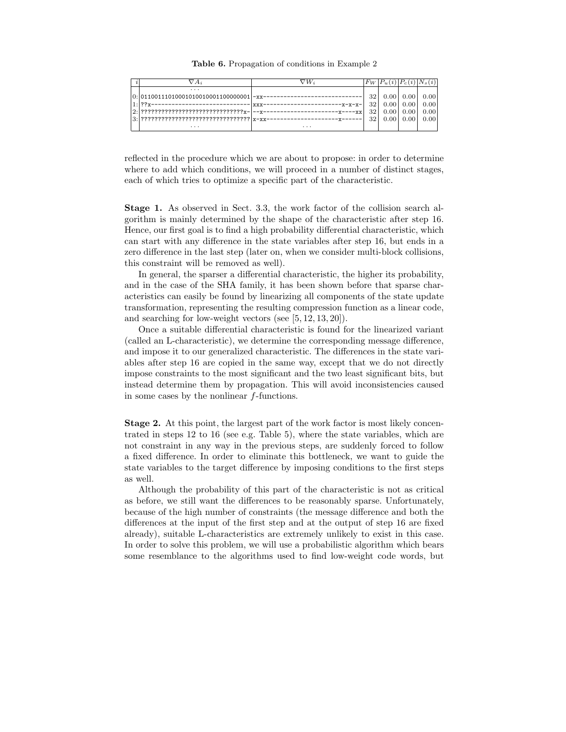Table 6. Propagation of conditions in Example 2

|  |                                                | ⊽W        | $F_{W}$ | (2)           | $\Gamma_c(i)$     |      |
|--|------------------------------------------------|-----------|---------|---------------|-------------------|------|
|  | $\cdot$ $\cdot$ $\cdot$                        |           |         |               |                   |      |
|  |                                                |           | 32      |               | $0.00 \quad 0.00$ | 0.00 |
|  |                                                | $-x-x-x-$ | 321     |               | $0.00 \, 0.00$    | 0.00 |
|  |                                                |           | 321     |               | $0.00 \quad 0.00$ | 0.00 |
|  | $3:$ ??????????????????????????????????  x-xx- |           | 32      | $0.00\degree$ | 0.00              | 0.00 |
|  | .                                              | $\cdots$  |         |               |                   |      |

reflected in the procedure which we are about to propose: in order to determine where to add which conditions, we will proceed in a number of distinct stages, each of which tries to optimize a specific part of the characteristic.

Stage 1. As observed in Sect. 3.3, the work factor of the collision search algorithm is mainly determined by the shape of the characteristic after step 16. Hence, our first goal is to find a high probability differential characteristic, which can start with any difference in the state variables after step 16, but ends in a zero difference in the last step (later on, when we consider multi-block collisions, this constraint will be removed as well).

In general, the sparser a differential characteristic, the higher its probability, and in the case of the SHA family, it has been shown before that sparse characteristics can easily be found by linearizing all components of the state update transformation, representing the resulting compression function as a linear code, and searching for low-weight vectors (see [5, 12, 13, 20]).

Once a suitable differential characteristic is found for the linearized variant (called an L-characteristic), we determine the corresponding message difference, and impose it to our generalized characteristic. The differences in the state variables after step 16 are copied in the same way, except that we do not directly impose constraints to the most significant and the two least significant bits, but instead determine them by propagation. This will avoid inconsistencies caused in some cases by the nonlinear  $f$ -functions.

Stage 2. At this point, the largest part of the work factor is most likely concentrated in steps 12 to 16 (see e.g. Table 5), where the state variables, which are not constraint in any way in the previous steps, are suddenly forced to follow a fixed difference. In order to eliminate this bottleneck, we want to guide the state variables to the target difference by imposing conditions to the first steps as well.

Although the probability of this part of the characteristic is not as critical as before, we still want the differences to be reasonably sparse. Unfortunately, because of the high number of constraints (the message difference and both the differences at the input of the first step and at the output of step 16 are fixed already), suitable L-characteristics are extremely unlikely to exist in this case. In order to solve this problem, we will use a probabilistic algorithm which bears some resemblance to the algorithms used to find low-weight code words, but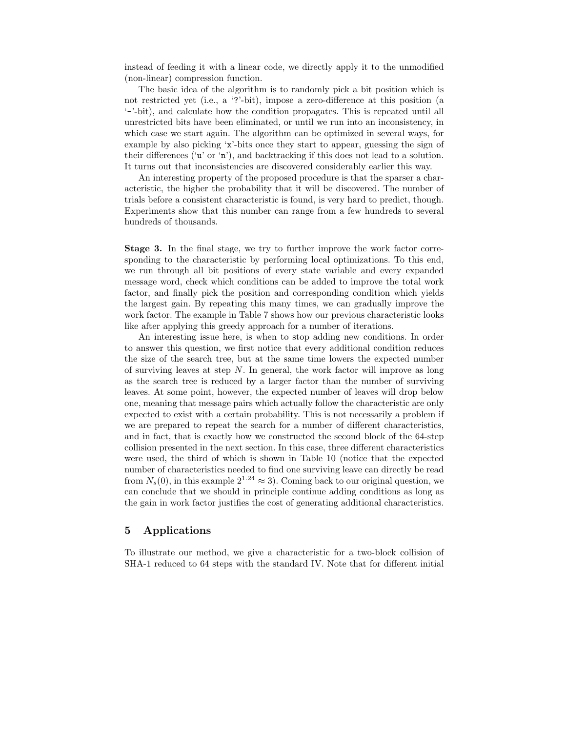instead of feeding it with a linear code, we directly apply it to the unmodified (non-linear) compression function.

The basic idea of the algorithm is to randomly pick a bit position which is not restricted yet (i.e., a '?'-bit), impose a zero-difference at this position (a '-'-bit), and calculate how the condition propagates. This is repeated until all unrestricted bits have been eliminated, or until we run into an inconsistency, in which case we start again. The algorithm can be optimized in several ways, for example by also picking 'x'-bits once they start to appear, guessing the sign of their differences ('u' or 'n'), and backtracking if this does not lead to a solution. It turns out that inconsistencies are discovered considerably earlier this way.

An interesting property of the proposed procedure is that the sparser a characteristic, the higher the probability that it will be discovered. The number of trials before a consistent characteristic is found, is very hard to predict, though. Experiments show that this number can range from a few hundreds to several hundreds of thousands.

Stage 3. In the final stage, we try to further improve the work factor corresponding to the characteristic by performing local optimizations. To this end, we run through all bit positions of every state variable and every expanded message word, check which conditions can be added to improve the total work factor, and finally pick the position and corresponding condition which yields the largest gain. By repeating this many times, we can gradually improve the work factor. The example in Table 7 shows how our previous characteristic looks like after applying this greedy approach for a number of iterations.

An interesting issue here, is when to stop adding new conditions. In order to answer this question, we first notice that every additional condition reduces the size of the search tree, but at the same time lowers the expected number of surviving leaves at step  $N$ . In general, the work factor will improve as long as the search tree is reduced by a larger factor than the number of surviving leaves. At some point, however, the expected number of leaves will drop below one, meaning that message pairs which actually follow the characteristic are only expected to exist with a certain probability. This is not necessarily a problem if we are prepared to repeat the search for a number of different characteristics, and in fact, that is exactly how we constructed the second block of the 64-step collision presented in the next section. In this case, three different characteristics were used, the third of which is shown in Table 10 (notice that the expected number of characteristics needed to find one surviving leave can directly be read from  $N_s(0)$ , in this example  $2^{1.24} \approx 3$ ). Coming back to our original question, we can conclude that we should in principle continue adding conditions as long as the gain in work factor justifies the cost of generating additional characteristics.

# 5 Applications

To illustrate our method, we give a characteristic for a two-block collision of SHA-1 reduced to 64 steps with the standard IV. Note that for different initial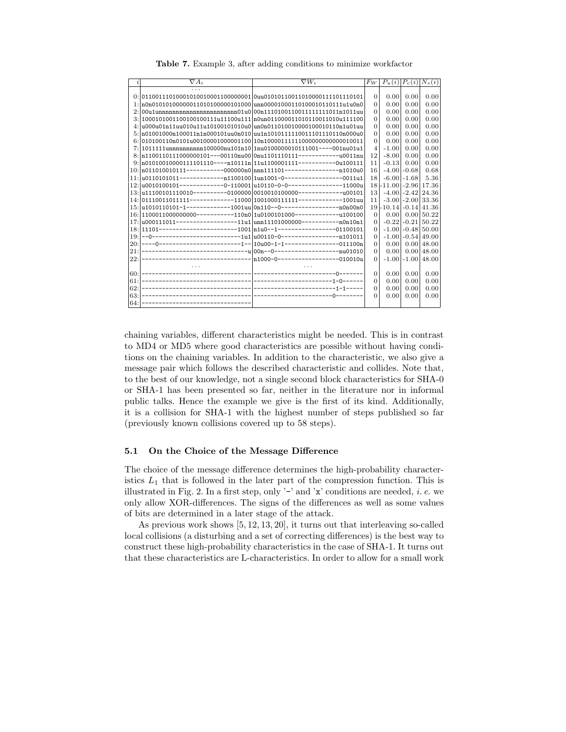| İ.  | $\nabla A_i$                                                                              | $\nabla W_i$                                                              | $F_W$           | $P_u(i)   P_c(i)   N_s(i)$ |                |                          |
|-----|-------------------------------------------------------------------------------------------|---------------------------------------------------------------------------|-----------------|----------------------------|----------------|--------------------------|
|     | .                                                                                         |                                                                           |                 |                            |                |                          |
|     | $0: 0110011101000101001000110000000110$ uu01010110011010000111101110101                   |                                                                           | $\overline{0}$  | 0.00                       | 0.00           | 0.00                     |
|     | $1:\text{no}01010100000011010100000101000 \text{lunn}0000100011010001011111 \text{u1}000$ |                                                                           | $\Omega$        | 0.00                       | 0.00           | 0.00                     |
|     |                                                                                           | 00u1unnnnnnnnnnnnnnnnnnnnnnnn01u0 00n1110100110011111111011n1011uu        | $\Omega$        | 0.00                       | 0.00           | 0.00                     |
|     |                                                                                           |                                                                           | $\Omega$        | 0.00                       | 0.00           | 0.00                     |
|     |                                                                                           |                                                                           | $\Omega$        | 0.00                       | 0.00           | 0.00                     |
|     |                                                                                           |                                                                           | $\overline{0}$  | 0.00                       | 0.00           | 0.00                     |
|     |                                                                                           |                                                                           | $\Omega$        | 0.00                       | 0.00           | 0.00                     |
|     | 7:1011111unnnnnnnnnn100000nu101n1011nu0100000010111001----001nu01u1                       |                                                                           | $\overline{4}$  | $-1.00$                    | 0.00           | 0.00                     |
|     |                                                                                           | 8: n1100110111000000101---00110nu00 0nu1101110111------------u0011nu      | 12              | $-8.00$                    | 0.00           | 0.00                     |
|     | $9: n01010010000111101110---n10111n 11u1100001111------0u100111$                          |                                                                           | 11              | $-0.13$                    | 0.00           | 0.00                     |
|     |                                                                                           | $10: \ln 011010010111-------0000000n0 \cdot \ln n111101----------11010u0$ | 16              |                            | $-4.00 - 0.68$ | 0.68                     |
|     |                                                                                           |                                                                           | 18              |                            | $-6.00 - 1.68$ | 5.36                     |
|     |                                                                                           |                                                                           |                 | 18-11.00 -2.96 17.36       |                |                          |
|     |                                                                                           |                                                                           | 13 <sup>1</sup> |                            | $-4.00 - 2.42$ | 24.36                    |
|     |                                                                                           |                                                                           | 11              |                            |                | $-3.00$ $-2.00$ 33.36    |
|     |                                                                                           |                                                                           |                 | 19-10.14-0.14 41.36        |                |                          |
|     |                                                                                           | 16: 1100011000000000----------110n0  1u0100101000----------------100100   | $\Omega$        | 0.00                       |                | 0.00150.22               |
|     | 17: u000111011-----------------11u1 unn11101000000------------n0n10n1                     |                                                                           | $\Omega$        |                            |                | $-0.22$ $-0.21$ 50.22    |
|     | 18: 11101------------------------1001 n1u0--1------------------01100101                   |                                                                           | $\Omega$        |                            |                | $-1.00$ $-0.48$ $150.00$ |
|     |                                                                                           |                                                                           | $\Omega$        |                            |                | $-1.00$ $-0.54$ $49.00$  |
| 20: |                                                                                           |                                                                           | $\Omega$        | 0.00                       |                | 0.00148.00               |
| 21: |                                                                                           |                                                                           | $\Omega$        | 0.00                       |                | $0.00 \, 48.00$          |
| 22: |                                                                                           |                                                                           | $\Omega$        |                            |                | $-1.00$ $-1.00$ $48.00$  |
|     |                                                                                           |                                                                           |                 |                            |                |                          |
| 60: |                                                                                           |                                                                           | $\Omega$        | 0.00                       | 0.00           | 0.00                     |
| 61: |                                                                                           |                                                                           | $\Omega$        | 0.00                       | 0.00           | 0.00                     |
| 62. |                                                                                           |                                                                           | $\overline{0}$  | 0.00                       | 0.00           | 0.00                     |
| 63: |                                                                                           |                                                                           | $\Omega$        | 0.00                       | 0.00           | 0.00                     |
| 64: |                                                                                           |                                                                           |                 |                            |                |                          |

Table 7. Example 3, after adding conditions to minimize workfactor

chaining variables, different characteristics might be needed. This is in contrast to MD4 or MD5 where good characteristics are possible without having conditions on the chaining variables. In addition to the characteristic, we also give a message pair which follows the described characteristic and collides. Note that, to the best of our knowledge, not a single second block characteristics for SHA-0 or SHA-1 has been presented so far, neither in the literature nor in informal public talks. Hence the example we give is the first of its kind. Additionally, it is a collision for SHA-1 with the highest number of steps published so far (previously known collisions covered up to 58 steps).

#### $5.1$ On the Choice of the Message Difference

The choice of the message difference determines the high-probability characteristics  $L_1$  that is followed in the later part of the compression function. This is illustrated in Fig. 2. In a first step, only '-' and 'x' conditions are needed, *i. e.* we only allow XOR-differences. The signs of the differences as well as some values of bits are determined in a later stage of the attack.

As previous work shows  $[5, 12, 13, 20]$ , it turns out that interleaving so-called local collisions (a disturbing and a set of correcting differences) is the best way to construct these high-probability characteristics in the case of SHA-1. It turns out that these characteristics are L-characteristics. In order to allow for a small work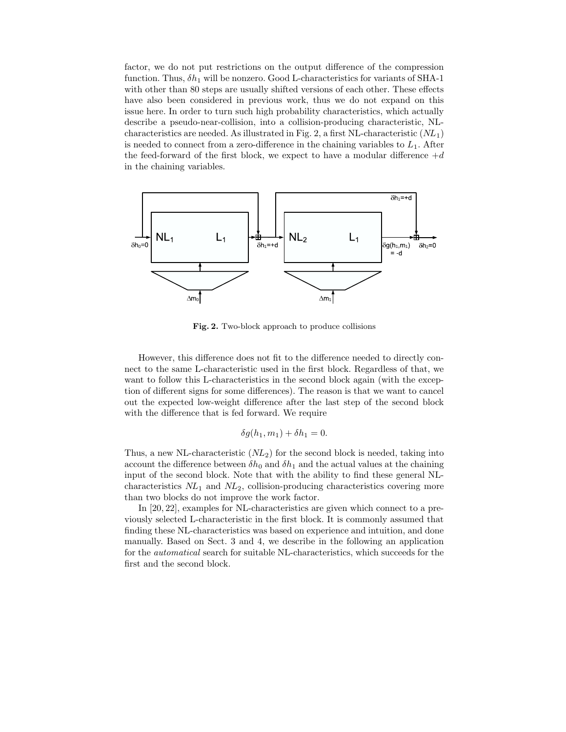factor, we do not put restrictions on the output difference of the compression function. Thus,  $\delta h_1$  will be nonzero. Good L-characteristics for variants of SHA-1 with other than 80 steps are usually shifted versions of each other. These effects have also been considered in previous work, thus we do not expand on this issue here. In order to turn such high probability characteristics, which actually describe a pseudo-near-collision, into a collision-producing characteristic, NLcharacteristics are needed. As illustrated in Fig. 2, a first NL-characteristic  $(NL_1)$ is needed to connect from a zero-difference in the chaining variables to  $L_1$ . After the feed-forward of the first block, we expect to have a modular difference  $+d$ in the chaining variables.



Fig. 2. Two-block approach to produce collisions

However, this difference does not fit to the difference needed to directly connect to the same L-characteristic used in the first block. Regardless of that, we want to follow this L-characteristics in the second block again (with the exception of different signs for some differences). The reason is that we want to cancel out the expected low-weight difference after the last step of the second block with the difference that is fed forward. We require

$$
\delta g(h_1, m_1) + \delta h_1 = 0.
$$

Thus, a new NL-characteristic  $(NL_2)$  for the second block is needed, taking into account the difference between  $\delta h_0$  and  $\delta h_1$  and the actual values at the chaining input of the second block. Note that with the ability to find these general NLcharacteristics  $NL_1$  and  $NL_2$ , collision-producing characteristics covering more than two blocks do not improve the work factor.

In [20, 22], examples for NL-characteristics are given which connect to a previously selected L-characteristic in the first block. It is commonly assumed that finding these NL-characteristics was based on experience and intuition, and done manually. Based on Sect. 3 and 4, we describe in the following an application for the automatical search for suitable NL-characteristics, which succeeds for the first and the second block.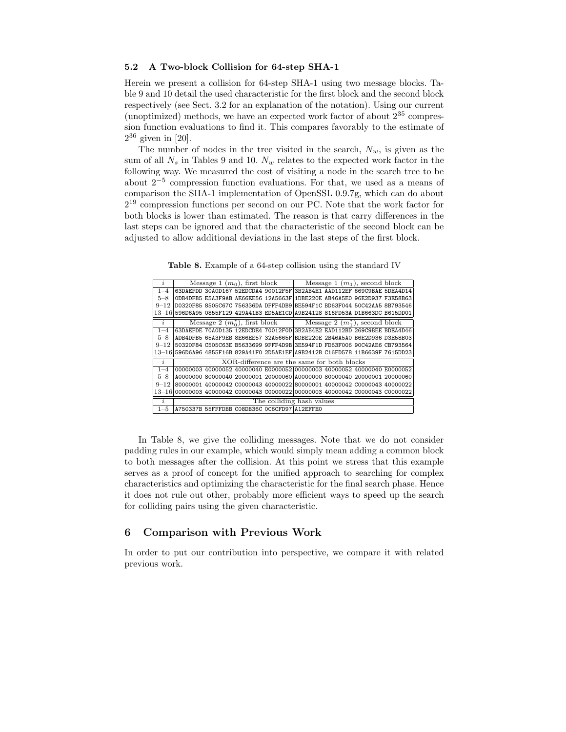### 5.2 A Two-block Collision for 64-step SHA-1

Herein we present a collision for 64-step SHA-1 using two message blocks. Table 9 and 10 detail the used characteristic for the first block and the second block respectively (see Sect. 3.2 for an explanation of the notation). Using our current (unoptimized) methods, we have an expected work factor of about  $2^{35}$  compression function evaluations to find it. This compares favorably to the estimate of  $2^{36}$  given in [20].

The number of nodes in the tree visited in the search,  $N_w$ , is given as the sum of all  $N_s$  in Tables 9 and 10.  $N_w$  relates to the expected work factor in the following way. We measured the cost of visiting a node in the search tree to be about  $2^{-5}$  compression function evaluations. For that, we used as a means of comparison the SHA-1 implementation of OpenSSL 0.9.7g, which can do about 2 <sup>19</sup> compression functions per second on our PC. Note that the work factor for both blocks is lower than estimated. The reason is that carry differences in the last steps can be ignored and that the characteristic of the second block can be adjusted to allow additional deviations in the last steps of the first block.

| i.                  |  | Message 1 $(m_0)$ , first block |  |                                                                               |                                                                      |  | Message 1 $(m_1)$ , second block |  |  |  |
|---------------------|--|---------------------------------|--|-------------------------------------------------------------------------------|----------------------------------------------------------------------|--|----------------------------------|--|--|--|
| $1 - 4$             |  |                                 |  | 63DAEFDD 30A0D167 52EDCDA4 90012F5F 3B2AB4E1 AAD112EF 669C9BAE 5DEA4D14       |                                                                      |  |                                  |  |  |  |
| $5 - 8$             |  |                                 |  | ODB4DFB5 E5A3F9AB AE66EE56 12A5663F 1DBE220E AB46A5E0 96E2D937 F3E58B63       |                                                                      |  |                                  |  |  |  |
| $9 - 12$            |  |                                 |  | D0320F85 8505C67C 756336DA DFFF4DB9 BE594F1C BD63F044 50C42AA5 8B793546       |                                                                      |  |                                  |  |  |  |
|                     |  |                                 |  | 13-16 596D6A95 0855F129 429A41B3 ED5AE1CD A9B24128 816FD53A D1B663DC B615DD01 |                                                                      |  |                                  |  |  |  |
| $\dot{i}$           |  |                                 |  |                                                                               | Message 2 $(m_0^*)$ , first block Message 2 $(m_1^*)$ , second block |  |                                  |  |  |  |
| $1 - 4$             |  |                                 |  | 63DAEFDE 70A0D135 12EDCDE4 70012F0D 3B2AB4E2 EAD112BD 269C9BEE BDEA4D46       |                                                                      |  |                                  |  |  |  |
| $5 - 8$             |  |                                 |  | ADB4DFB5 65A3F9EB 8E66EE57 32A5665F BDBE220E 2B46A5A0 B6E2D936 D3E58B03       |                                                                      |  |                                  |  |  |  |
| $9 - 12$            |  |                                 |  | 50320F84 C505C63E B5633699 9FFF4D9B 3E594F1D FD63F006 90C42AE6 CB793564       |                                                                      |  |                                  |  |  |  |
|                     |  |                                 |  | 13-16 596D6A96 4855F16B 829A41F0 2D5AE1EF A9B2412B C16FD578 11B6639F 7615DD23 |                                                                      |  |                                  |  |  |  |
| $\dot{i}$           |  |                                 |  | XOR-difference are the same for both blocks                                   |                                                                      |  |                                  |  |  |  |
| $1 - 4$             |  |                                 |  | 00000003 40000052 40000040 E0000052 00000003 40000052 40000040 E0000052       |                                                                      |  |                                  |  |  |  |
| $5 - 8$             |  |                                 |  | A0000000 80000040 20000001 20000060 A0000000 80000040 20000001 20000060       |                                                                      |  |                                  |  |  |  |
| $9 - 12$            |  |                                 |  | 80000001 40000042 C0000043 40000022 80000001 40000042 C0000043 40000022       |                                                                      |  |                                  |  |  |  |
|                     |  |                                 |  | 13-16 00000003 40000042 C0000043 C0000022 00000003 40000042 C0000043 C0000022 |                                                                      |  |                                  |  |  |  |
| $\boldsymbol{\eta}$ |  |                                 |  | The colliding hash values                                                     |                                                                      |  |                                  |  |  |  |
| $1 - 5$             |  |                                 |  | A750337B 55FFFDBB C08DB36C 0C6CFD97 A12EFFE0                                  |                                                                      |  |                                  |  |  |  |

Table 8. Example of a 64-step collision using the standard IV

In Table 8, we give the colliding messages. Note that we do not consider padding rules in our example, which would simply mean adding a common block to both messages after the collision. At this point we stress that this example serves as a proof of concept for the unified approach to searching for complex characteristics and optimizing the characteristic for the final search phase. Hence it does not rule out other, probably more efficient ways to speed up the search for colliding pairs using the given characteristic.

# 6 Comparison with Previous Work

In order to put our contribution into perspective, we compare it with related previous work.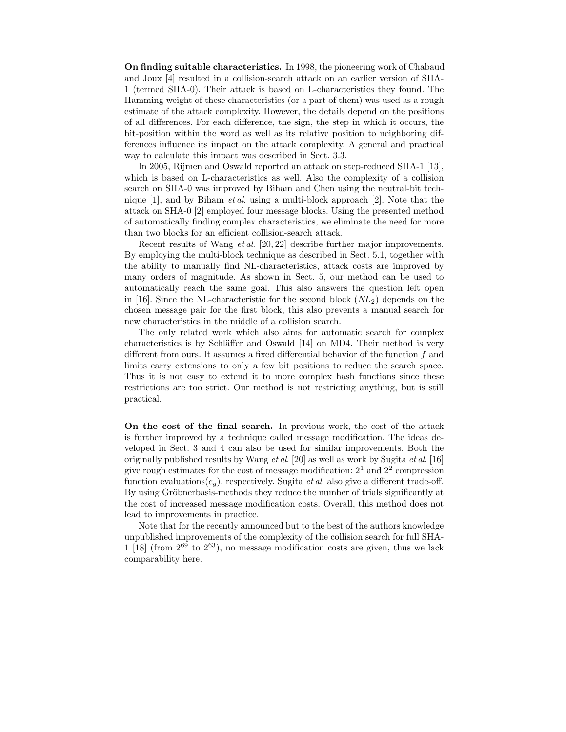On finding suitable characteristics. In 1998, the pioneering work of Chabaud and Joux [4] resulted in a collision-search attack on an earlier version of SHA-1 (termed SHA-0). Their attack is based on L-characteristics they found. The Hamming weight of these characteristics (or a part of them) was used as a rough estimate of the attack complexity. However, the details depend on the positions of all differences. For each difference, the sign, the step in which it occurs, the bit-position within the word as well as its relative position to neighboring differences influence its impact on the attack complexity. A general and practical way to calculate this impact was described in Sect. 3.3.

In 2005, Rijmen and Oswald reported an attack on step-reduced SHA-1 [13], which is based on L-characteristics as well. Also the complexity of a collision search on SHA-0 was improved by Biham and Chen using the neutral-bit technique  $[1]$ , and by Biham *et al.* using a multi-block approach  $[2]$ . Note that the attack on SHA-0 [2] employed four message blocks. Using the presented method of automatically finding complex characteristics, we eliminate the need for more than two blocks for an efficient collision-search attack.

Recent results of Wang et al. [20, 22] describe further major improvements. By employing the multi-block technique as described in Sect. 5.1, together with the ability to manually find NL-characteristics, attack costs are improved by many orders of magnitude. As shown in Sect. 5, our method can be used to automatically reach the same goal. This also answers the question left open in [16]. Since the NL-characteristic for the second block  $(NL_2)$  depends on the chosen message pair for the first block, this also prevents a manual search for new characteristics in the middle of a collision search.

The only related work which also aims for automatic search for complex characteristics is by Schläffer and Oswald  $[14]$  on MD4. Their method is very different from ours. It assumes a fixed differential behavior of the function f and limits carry extensions to only a few bit positions to reduce the search space. Thus it is not easy to extend it to more complex hash functions since these restrictions are too strict. Our method is not restricting anything, but is still practical.

On the cost of the final search. In previous work, the cost of the attack is further improved by a technique called message modification. The ideas developed in Sect. 3 and 4 can also be used for similar improvements. Both the originally published results by Wang  $et al.$  [20] as well as work by Sugita  $et al.$  [16] give rough estimates for the cost of message modification:  $2^1$  and  $2^2$  compression function evaluations( $c_q$ ), respectively. Sugita *et al.* also give a different trade-off. By using Gröbnerbasis-methods they reduce the number of trials significantly at the cost of increased message modification costs. Overall, this method does not lead to improvements in practice.

Note that for the recently announced but to the best of the authors knowledge unpublished improvements of the complexity of the collision search for full SHA- $1$  [18] (from  $2^{69}$  to  $2^{63}$ ), no message modification costs are given, thus we lack comparability here.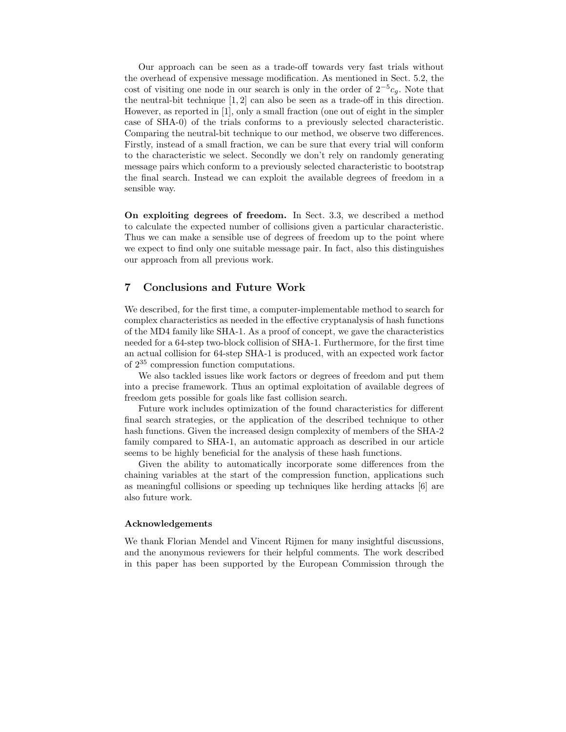Our approach can be seen as a trade-off towards very fast trials without the overhead of expensive message modification. As mentioned in Sect. 5.2, the cost of visiting one node in our search is only in the order of  $2^{-5}c_g$ . Note that the neutral-bit technique [1, 2] can also be seen as a trade-off in this direction. However, as reported in [1], only a small fraction (one out of eight in the simpler case of SHA-0) of the trials conforms to a previously selected characteristic. Comparing the neutral-bit technique to our method, we observe two differences. Firstly, instead of a small fraction, we can be sure that every trial will conform to the characteristic we select. Secondly we don't rely on randomly generating message pairs which conform to a previously selected characteristic to bootstrap the final search. Instead we can exploit the available degrees of freedom in a sensible way.

On exploiting degrees of freedom. In Sect. 3.3, we described a method to calculate the expected number of collisions given a particular characteristic. Thus we can make a sensible use of degrees of freedom up to the point where we expect to find only one suitable message pair. In fact, also this distinguishes our approach from all previous work.

# 7 Conclusions and Future Work

We described, for the first time, a computer-implementable method to search for complex characteristics as needed in the effective cryptanalysis of hash functions of the MD4 family like SHA-1. As a proof of concept, we gave the characteristics needed for a 64-step two-block collision of SHA-1. Furthermore, for the first time an actual collision for 64-step SHA-1 is produced, with an expected work factor of 2 <sup>35</sup> compression function computations.

We also tackled issues like work factors or degrees of freedom and put them into a precise framework. Thus an optimal exploitation of available degrees of freedom gets possible for goals like fast collision search.

Future work includes optimization of the found characteristics for different final search strategies, or the application of the described technique to other hash functions. Given the increased design complexity of members of the SHA-2 family compared to SHA-1, an automatic approach as described in our article seems to be highly beneficial for the analysis of these hash functions.

Given the ability to automatically incorporate some differences from the chaining variables at the start of the compression function, applications such as meaningful collisions or speeding up techniques like herding attacks [6] are also future work.

### Acknowledgements

We thank Florian Mendel and Vincent Rijmen for many insightful discussions, and the anonymous reviewers for their helpful comments. The work described in this paper has been supported by the European Commission through the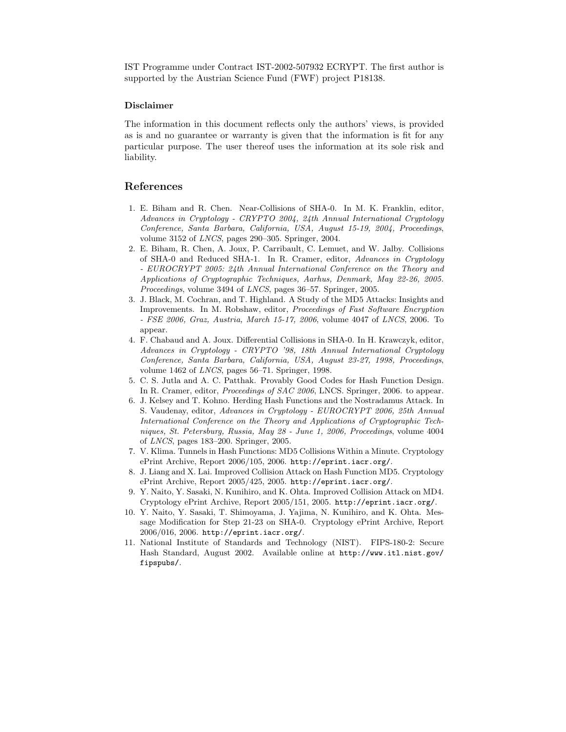IST Programme under Contract IST-2002-507932 ECRYPT. The first author is supported by the Austrian Science Fund (FWF) project P18138.

#### Disclaimer

The information in this document reflects only the authors' views, is provided as is and no guarantee or warranty is given that the information is fit for any particular purpose. The user thereof uses the information at its sole risk and liability.

# References

- 1. E. Biham and R. Chen. Near-Collisions of SHA-0. In M. K. Franklin, editor, Advances in Cryptology - CRYPTO 2004, 24th Annual International Cryptology Conference, Santa Barbara, California, USA, August 15-19, 2004, Proceedings, volume 3152 of LNCS, pages 290–305. Springer, 2004.
- 2. E. Biham, R. Chen, A. Joux, P. Carribault, C. Lemuet, and W. Jalby. Collisions of SHA-0 and Reduced SHA-1. In R. Cramer, editor, Advances in Cryptology - EUROCRYPT 2005: 24th Annual International Conference on the Theory and Applications of Cryptographic Techniques, Aarhus, Denmark, May 22-26, 2005. Proceedings, volume 3494 of LNCS, pages 36–57. Springer, 2005.
- 3. J. Black, M. Cochran, and T. Highland. A Study of the MD5 Attacks: Insights and Improvements. In M. Robshaw, editor, Proceedings of Fast Software Encryption - FSE 2006, Graz, Austria, March 15-17, 2006, volume 4047 of LNCS, 2006. To appear.
- 4. F. Chabaud and A. Joux. Differential Collisions in SHA-0. In H. Krawczyk, editor, Advances in Cryptology - CRYPTO '98, 18th Annual International Cryptology Conference, Santa Barbara, California, USA, August 23-27, 1998, Proceedings, volume 1462 of LNCS, pages 56–71. Springer, 1998.
- 5. C. S. Jutla and A. C. Patthak. Provably Good Codes for Hash Function Design. In R. Cramer, editor, Proceedings of SAC 2006, LNCS. Springer, 2006. to appear.
- 6. J. Kelsey and T. Kohno. Herding Hash Functions and the Nostradamus Attack. In S. Vaudenay, editor, Advances in Cryptology - EUROCRYPT 2006, 25th Annual International Conference on the Theory and Applications of Cryptographic Techniques, St. Petersburg, Russia, May 28 - June 1, 2006, Proceedings, volume 4004 of LNCS, pages 183–200. Springer, 2005.
- 7. V. Klima. Tunnels in Hash Functions: MD5 Collisions Within a Minute. Cryptology ePrint Archive, Report 2006/105, 2006. http://eprint.iacr.org/.
- 8. J. Liang and X. Lai. Improved Collision Attack on Hash Function MD5. Cryptology ePrint Archive, Report 2005/425, 2005. http://eprint.iacr.org/.
- 9. Y. Naito, Y. Sasaki, N. Kunihiro, and K. Ohta. Improved Collision Attack on MD4. Cryptology ePrint Archive, Report 2005/151, 2005. http://eprint.iacr.org/.
- 10. Y. Naito, Y. Sasaki, T. Shimoyama, J. Yajima, N. Kunihiro, and K. Ohta. Message Modification for Step 21-23 on SHA-0. Cryptology ePrint Archive, Report 2006/016, 2006. http://eprint.iacr.org/.
- 11. National Institute of Standards and Technology (NIST). FIPS-180-2: Secure Hash Standard, August 2002. Available online at http://www.itl.nist.gov/ fipspubs/.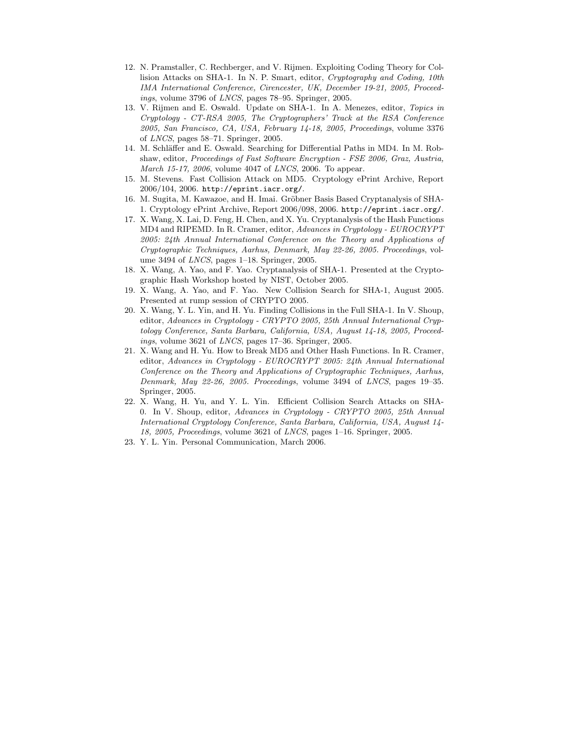- 12. N. Pramstaller, C. Rechberger, and V. Rijmen. Exploiting Coding Theory for Collision Attacks on SHA-1. In N. P. Smart, editor, Cryptography and Coding, 10th IMA International Conference, Cirencester, UK, December 19-21, 2005, Proceedings, volume 3796 of LNCS, pages 78–95. Springer, 2005.
- 13. V. Rijmen and E. Oswald. Update on SHA-1. In A. Menezes, editor, Topics in Cryptology - CT-RSA 2005, The Cryptographers' Track at the RSA Conference 2005, San Francisco, CA, USA, February 14-18, 2005, Proceedings, volume 3376 of LNCS, pages 58–71. Springer, 2005.
- 14. M. Schläffer and E. Oswald. Searching for Differential Paths in MD4. In M. Robshaw, editor, *Proceedings of Fast Software Encryption - FSE 2006, Graz, Austria,* March 15-17, 2006, volume 4047 of LNCS, 2006. To appear.
- 15. M. Stevens. Fast Collision Attack on MD5. Cryptology ePrint Archive, Report 2006/104, 2006. http://eprint.iacr.org/.
- 16. M. Sugita, M. Kawazoe, and H. Imai. Gröbner Basis Based Cryptanalysis of SHA-1. Cryptology ePrint Archive, Report 2006/098, 2006. http://eprint.iacr.org/.
- 17. X. Wang, X. Lai, D. Feng, H. Chen, and X. Yu. Cryptanalysis of the Hash Functions MD4 and RIPEMD. In R. Cramer, editor, Advances in Cryptology - EUROCRYPT 2005: 24th Annual International Conference on the Theory and Applications of Cryptographic Techniques, Aarhus, Denmark, May 22-26, 2005. Proceedings, volume 3494 of LNCS, pages 1–18. Springer, 2005.
- 18. X. Wang, A. Yao, and F. Yao. Cryptanalysis of SHA-1. Presented at the Cryptographic Hash Workshop hosted by NIST, October 2005.
- 19. X. Wang, A. Yao, and F. Yao. New Collision Search for SHA-1, August 2005. Presented at rump session of CRYPTO 2005.
- 20. X. Wang, Y. L. Yin, and H. Yu. Finding Collisions in the Full SHA-1. In V. Shoup, editor, Advances in Cryptology - CRYPTO 2005, 25th Annual International Cryptology Conference, Santa Barbara, California, USA, August 14-18, 2005, Proceedings, volume 3621 of LNCS, pages 17–36. Springer, 2005.
- 21. X. Wang and H. Yu. How to Break MD5 and Other Hash Functions. In R. Cramer, editor, Advances in Cryptology - EUROCRYPT 2005: 24th Annual International Conference on the Theory and Applications of Cryptographic Techniques, Aarhus, Denmark, May 22-26, 2005. Proceedings, volume 3494 of LNCS, pages 19–35. Springer, 2005.
- 22. X. Wang, H. Yu, and Y. L. Yin. Efficient Collision Search Attacks on SHA-0. In V. Shoup, editor, Advances in Cryptology - CRYPTO 2005, 25th Annual International Cryptology Conference, Santa Barbara, California, USA, August 14- 18, 2005, Proceedings, volume 3621 of LNCS, pages 1–16. Springer, 2005.
- 23. Y. L. Yin. Personal Communication, March 2006.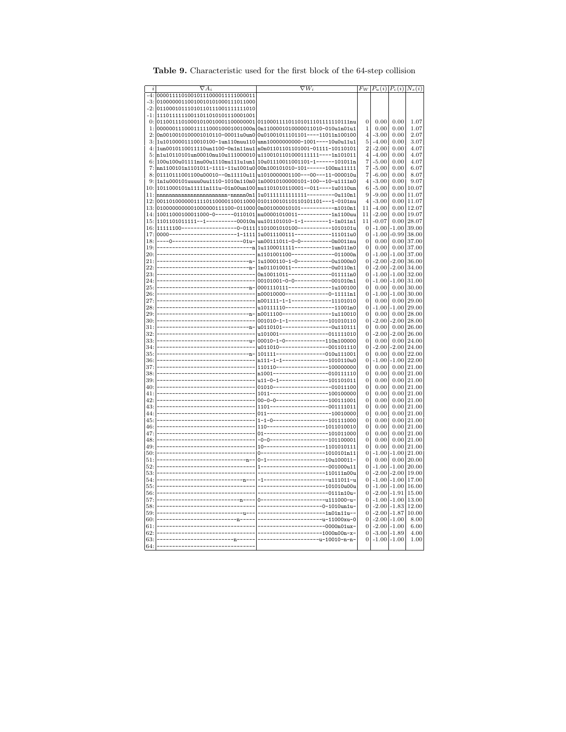| $\it i$    | $\nabla A_i$                                                                                                                           | $\nabla W_i$                                                                                           |                | $F_W  P_u(i)  P_c(i)  N_s(i)$ |                         |                   |
|------------|----------------------------------------------------------------------------------------------------------------------------------------|--------------------------------------------------------------------------------------------------------|----------------|-------------------------------|-------------------------|-------------------|
|            | 00001111010010111000011111000011                                                                                                       |                                                                                                        |                |                               |                         |                   |
| -3:        | 01000000110010010101000111011000                                                                                                       |                                                                                                        |                |                               |                         |                   |
| -2:        | 01100010111010110111001111111010                                                                                                       |                                                                                                        |                |                               |                         |                   |
| -1:        | 111011111110011011010101110001001                                                                                                      |                                                                                                        |                |                               |                         |                   |
| $\Omega$ : |                                                                                                                                        |                                                                                                        | $\overline{0}$ | 0.00                          | 0.00                    | 1.07              |
| 1:         | 0000001110001111100010001001000n 0n1100001010000011010-010u1n01u1                                                                      |                                                                                                        | $\mathbf 1$    | 0.00                          | 0.00                    | 1.07              |
| 2:         |                                                                                                                                        | 0n0010010100001010110-00011u0un0 0u01001011101101----11011n100100                                      | 4              | $-3.00$                       | 0.00                    | 2.07              |
| 3:         |                                                                                                                                        |                                                                                                        | 5              |                               | 0.00                    |                   |
|            | 1u10100001110010100-1un110nuu110 unn10000000000-1001----10u0u11u1<br>1un0010110011110un1100-0n1n11nu1 n0n01101101101001-01111-10110101 |                                                                                                        | 2              | $-4.00$<br>$-2.00$            | 0.00                    | 3.07<br>4.07      |
|            | 5: n1u10110101un00010nu10u111000010 u1100101101000111111----1n101011                                                                   |                                                                                                        | 4              | $-4.00$                       | 0.00                    | 4.07              |
|            | $6:  100u100u01111nu00u1110nu111u1un1  10u01110011001101-1----101011n$                                                                 |                                                                                                        |                | $-5.00$                       | 0.00                    |                   |
| 7:         |                                                                                                                                        |                                                                                                        | 7<br>7         | $-5.00$                       | 0.00                    | 4.07<br>$_{6.07}$ |
|            | nn1100101n1101011-1111-11u1001u0 00n100101010-101------100nu11111<br>01110111001100u00010--0n11110u11 u1010000001100---00---11-000010u |                                                                                                        | 7              | $-6.00$                       | 0.00                    | 8.07              |
| 9:         | 1n1u000101uuuu0uu1110-1010n110n0 1n00010100000101-100--10-u1111n0                                                                      |                                                                                                        | 4              | $-3.00$                       | 0.00                    | 9.07              |
| 10:        | 1011000101n11111n111u-01n00un100 nu1101010110001--011----1u0110un                                                                      |                                                                                                        | 6              | $-5.00$                       | 0.00                    | 10.07             |
|            | nnnnnnnnnnnnnnnnnnnnnnnn-nnnnn0n1  1u011111111111111---------0u110n1                                                                   |                                                                                                        | 9              | $-9.00$                       |                         | $0.00$ 11.07      |
|            |                                                                                                                                        |                                                                                                        | 4              | $-3.00$                       |                         | $0.00$   11.07    |
| 13:        |                                                                                                                                        |                                                                                                        | 11             | $-4.00$                       |                         | $0.00$ 12.07      |
|            | 14: 10011000100011000-0------0110101  nu00001010011----------1n1100uu                                                                  |                                                                                                        | 11             | $-2.00$                       |                         | $0.00$ 19.07      |
|            |                                                                                                                                        |                                                                                                        | 11             | $-0.07$                       |                         | $0.00$ 28.07      |
| 16:        | 15: 1101101011111--1---------00010n  uu101101010-1-1--------1-1n011n1                                                                  |                                                                                                        | 0              | $-1.00$                       |                         | $-1.00$ 39.00     |
| 17:        |                                                                                                                                        |                                                                                                        | 0              | $-1.00$                       |                         | $-0.99$ 38.00     |
| 18:        |                                                                                                                                        |                                                                                                        | 0              | 0.00                          |                         | $0.00$ 37.00      |
| 19:        |                                                                                                                                        | ----0-------------------------01u- un00111011-0-0-----------0n0011nu                                   | 0              | 0.00                          |                         | $0.00$ 37.00      |
| 20:        |                                                                                                                                        |                                                                                                        | 0              |                               | $-1.00$ $-1.00$ 37.00   |                   |
| 21:        |                                                                                                                                        |                                                                                                        | 0              |                               | $-2.00$ $-2.00$ 36.00   |                   |
| 22:        |                                                                                                                                        |                                                                                                        | 0              |                               | $-2.00$ $-2.00$ 34.00   |                   |
| 23:        |                                                                                                                                        |                                                                                                        | 0              |                               | $-1.00$ $-1.00$ 32.00   |                   |
| 24:        |                                                                                                                                        |                                                                                                        | 0              |                               | $-1.00 - 1.00$          | 31.00             |
| 25:        |                                                                                                                                        |                                                                                                        | 0              | 0.00                          | 0.00                    | 30.00             |
| 26:        |                                                                                                                                        |                                                                                                        | 0              | $-1.00$                       | $-1.00$                 | 30.00             |
| 27:        |                                                                                                                                        |                                                                                                        | 0              | 0.00                          |                         | $0.00$ 29.00      |
| 28:        |                                                                                                                                        |                                                                                                        | 0              | $-1.00$                       |                         | $-1.00$ 29.00     |
| 29:        |                                                                                                                                        |                                                                                                        | 0              | 0.00                          |                         | $0.00$ 28.00      |
| 30:        |                                                                                                                                        |                                                                                                        | 0              |                               | $-2.00$ $-2.00$ $28.00$ |                   |
| 31:        |                                                                                                                                        |                                                                                                        | 0              | 0.00                          |                         | $0.00$ 26.00      |
| 32:        |                                                                                                                                        | -----------------------------n- u0110101------------------0u110111<br>u101001----------------011111010 | 0              | $-2.00$                       |                         | $-2.00$ 26.00     |
| 33:        | ------------------------------                                                                                                         | 00010-1-0-------------110n100000                                                                       | 0              | 0.00                          |                         | $0.00$ 24.00      |
| 34:        |                                                                                                                                        | u011010---------------001101110                                                                        | 0              | $-2.00$                       |                         | $-2.00$ 24.00     |
| 35:        |                                                                                                                                        |                                                                                                        | 0              | 0.00                          |                         | $0.00$ 22.00      |
| 36:        |                                                                                                                                        | n111-1-1---------------1010110u0                                                                       | 0              | -1.00                         |                         | $-1.00$ 22.00     |
| 37:        |                                                                                                                                        | 110110-----------------100000000                                                                       | 0              | 0.00                          |                         | $0.00$   21.00    |
| 38:        |                                                                                                                                        | n1001------------------010111110                                                                       | 0              | 0.00                          |                         | $0.00$ 21.00      |
| 39:        | --------------------------                                                                                                             | u11-0-1----------------101101011                                                                       | 0              | 0.00                          |                         | $0.00$ 21.00      |
| 40:        |                                                                                                                                        | 01010-------------------01011100                                                                       | 0              | $_{0.00}$                     |                         | $0.00$   21.00    |
| 41:        | -----------------------------                                                                                                          | 1011-------------------100100000                                                                       | 0              | 0.00                          | 0.00                    | 21.00             |
| 42:        | -----------------------------<br>------------------------------                                                                        | 00-0-0-----------------100111001                                                                       | 0              | 0.00                          | 0.00                    | 21.00             |
| 43:        |                                                                                                                                        | 1101-------------------001111011                                                                       | 0              | 0.00                          |                         | $0.00$ 21.00      |
| 44:        |                                                                                                                                        | 011---------------------10010000                                                                       | 0              | 0.00                          |                         | $0.00$   21.00    |
| 45:        |                                                                                                                                        | $1-1-0$ -------------------101111000                                                                   | 0              | 0.00                          |                         | $0.00$   21.00    |
| 46:        |                                                                                                                                        | $110$ -------------------1011010010                                                                    | 0              | 0.00                          |                         | $0.00$   21.00    |
| 47:        |                                                                                                                                        | 01---------------------101011000                                                                       | 0              | 0.00                          |                         | $0.00$   21.00    |
| 48:        | -----------------------------                                                                                                          | -0-0--------------------101100001                                                                      | 0              | 0.00                          |                         | $0.00$ 21.00      |
| 49:        | --------------------------------                                                                                                       | 10--------------------1101010111                                                                       | 0              | 0.00                          |                         | $0.00$ 21.00      |
| 50:        | --------------------------------                                                                                                       | 0--------------------1010101n11                                                                        | 0              | $-1.00$                       | $-1.00$                 | 21.00             |
| 51:        | --------------------------------                                                                                                       | 0-1------------------10u100011-                                                                        | 0              | 0.00                          |                         | $0.00 \,   20.00$ |
| 52:        |                                                                                                                                        | 1---------------------001000u11                                                                        | 0              |                               | $-1.00$ $-1.00$ $20.00$ |                   |
| 53:        |                                                                                                                                        | --------------------110111n00u                                                                         | 0              |                               | $-2.00$ $-2.00$ 19.00   |                   |
| 54:        |                                                                                                                                        | -1----------------------u111011-u                                                                      | 0              |                               | $-1.00$ $-1.00$ 17.00   |                   |
| 55:        |                                                                                                                                        | -------------------101010u00u                                                                          | 0              |                               | $-1.00$ $-1.00$ 16.00   |                   |
| 56:        |                                                                                                                                        | ----------------------0111n10u-                                                                        | 0              |                               | $-2.00 - 1.91$          | 15.00             |
| 57:        | --------------------------- <u>n</u> ----                                                                                              | 0----------------------u111000-u-                                                                      | 0              |                               | $-1.00 - 1.00$          | 13.00             |
| 58:        | -------------------------------                                                                                                        | --------------------0-1010un1u-                                                                        | 0              |                               | $-2.00 - 1.83$          | 12.00             |
| 59:        |                                                                                                                                        | ---------------------1n01n11u--                                                                        | 0              |                               | $-2.00 - 1.87$          | 10.00             |
| 60:        |                                                                                                                                        | ---------------------u-11000xu-0                                                                       | 0              | $-2.00 - 1.00$                |                         | 8.00              |
| 61:        |                                                                                                                                        | ---------------------0000n01ux-                                                                        | 0              | $-2.00 - 1.00$                |                         | 6.00              |
| 62:        |                                                                                                                                        | --------------------1000n00n-x-                                                                        | 0              | $-3.00 - 1.89$                |                         | 4.00              |
| 63:        |                                                                                                                                        | --------------------u-10010-n-n-                                                                       | 0              |                               | $-1.00 - 1.00$          | 1.00              |
| 64:        |                                                                                                                                        |                                                                                                        |                |                               |                         |                   |

Table 9. Characteristic used for the first block of the 64-step collision